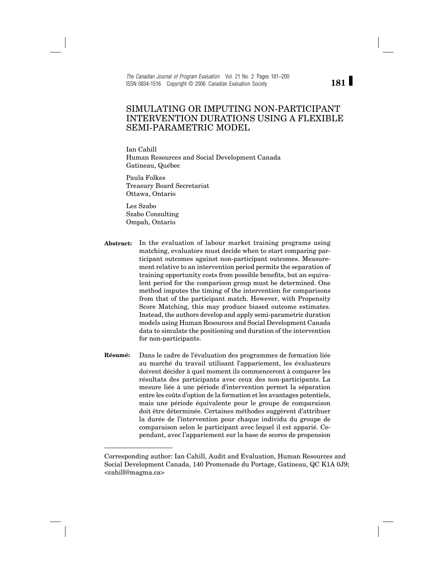*The Canadian Journal of Program Evaluation* Vol. 21 No. 2 Pages 181–200 ISSN 0834-1516 Copyright © 2006 Canadian Evaluation Society

# SIMULATING OR IMPUTING NON-PARTICIPANT INTERVENTION DURATIONS USING A FLEXIBLE SEMI-PARAMETRIC MODEL

Ian Cahill Human Resources and Social Development Canada Gatineau, Québec

Paula Folkes Treasury Board Secretariat Ottawa, Ontario

Les Szabo Szabo Consulting Ompah, Ontario

- **Abstract:** In the evaluation of labour market training programs using matching, evaluators must decide when to start comparing participant outcomes against non-participant outcomes. Measurement relative to an intervention period permits the separation of training opportunity costs from possible benefits, but an equivalent period for the comparison group must be determined. One method imputes the timing of the intervention for comparisons from that of the participant match. However, with Propensity Score Matching, this may produce biased outcome estimates. Instead, the authors develop and apply semi-parametric duration models using Human Resources and Social Development Canada data to simulate the positioning and duration of the intervention for non-participants.
- **Résumé:** Dans le cadre de l'évaluation des programmes de formation liée au marché du travail utilisant l'appariement, les évaluateurs doivent décider à quel moment ils commenceront à comparer les résultats des participants avec ceux des non-participants. La mesure liée à une période d'intervention permet la séparation entre les coûts d'option de la formation et les avantages potentiels, mais une période équivalente pour le groupe de comparaison doit être déterminée. Certaines méthodes suggèrent d'attribuer la durée de l'intervention pour chaque individu du groupe de comparaison selon le participant avec lequel il est apparié. Cependant, avec l'appariement sur la base de scores de propension

**181**

Corresponding author: Ian Cahill, Audit and Evaluation, Human Resources and Social Development Canada, 140 Promenade du Portage, Gatineau, QC K1A 0J9; <cahill@magma.ca>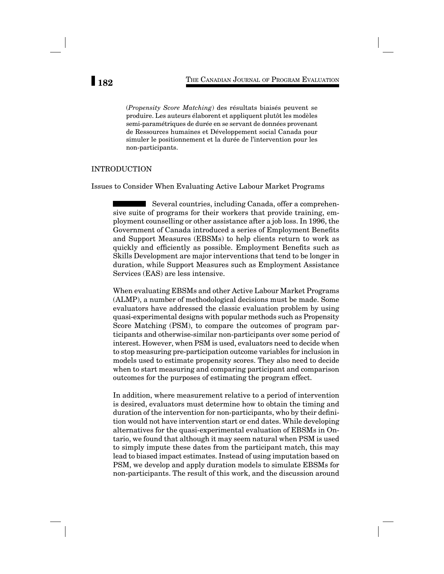(*Propensity Score Matching*) des résultats biaisés peuvent se produire. Les auteurs élaborent et appliquent plutôt les modèles semi-paramétriques de durée en se servant de données provenant de Ressources humaines et Développement social Canada pour simuler le positionnement et la durée de l'intervention pour les non-participants.

## INTRODUCTION

Issues to Consider When Evaluating Active Labour Market Programs

Several countries, including Canada, offer a comprehensive suite of programs for their workers that provide training, employment counselling or other assistance after a job loss. In 1996, the Government of Canada introduced a series of Employment Benefits and Support Measures (EBSMs) to help clients return to work as quickly and efficiently as possible. Employment Benefits such as Skills Development are major interventions that tend to be longer in duration, while Support Measures such as Employment Assistance Services (EAS) are less intensive.

When evaluating EBSMs and other Active Labour Market Programs (ALMP), a number of methodological decisions must be made. Some evaluators have addressed the classic evaluation problem by using quasi-experimental designs with popular methods such as Propensity Score Matching (PSM), to compare the outcomes of program participants and otherwise-similar non-participants over some period of interest. However, when PSM is used, evaluators need to decide when to stop measuring pre-participation outcome variables for inclusion in models used to estimate propensity scores. They also need to decide when to start measuring and comparing participant and comparison outcomes for the purposes of estimating the program effect.

In addition, where measurement relative to a period of intervention is desired, evaluators must determine how to obtain the timing and duration of the intervention for non-participants, who by their definition would not have intervention start or end dates. While developing alternatives for the quasi-experimental evaluation of EBSMs in Ontario, we found that although it may seem natural when PSM is used to simply impute these dates from the participant match, this may lead to biased impact estimates. Instead of using imputation based on PSM, we develop and apply duration models to simulate EBSMs for non-participants. The result of this work, and the discussion around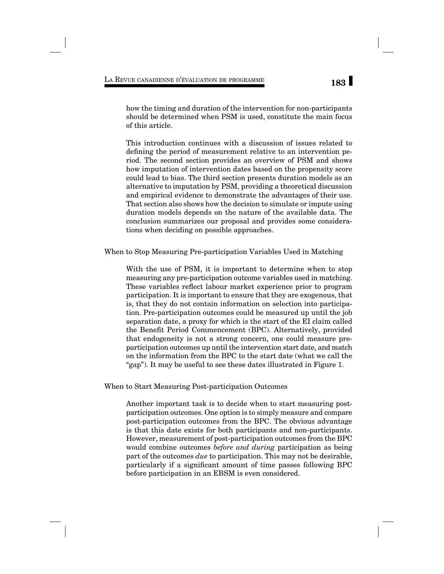how the timing and duration of the intervention for non-participants should be determined when PSM is used, constitute the main focus of this article.

This introduction continues with a discussion of issues related to defining the period of measurement relative to an intervention period. The second section provides an overview of PSM and shows how imputation of intervention dates based on the propensity score could lead to bias. The third section presents duration models as an alternative to imputation by PSM, providing a theoretical discussion and empirical evidence to demonstrate the advantages of their use. That section also shows how the decision to simulate or impute using duration models depends on the nature of the available data. The conclusion summarizes our proposal and provides some considerations when deciding on possible approaches.

When to Stop Measuring Pre-participation Variables Used in Matching

With the use of PSM, it is important to determine when to stop measuring any pre-participation outcome variables used in matching. These variables reflect labour market experience prior to program participation. It is important to ensure that they are exogenous, that is, that they do not contain information on selection into participation. Pre-participation outcomes could be measured up until the job separation date, a proxy for which is the start of the EI claim called the Benefit Period Commencement (BPC). Alternatively, provided that endogeneity is not a strong concern, one could measure preparticipation outcomes up until the intervention start date, and match on the information from the BPC to the start date (what we call the "gap"). It may be useful to see these dates illustrated in Figure 1.

When to Start Measuring Post-participation Outcomes

Another important task is to decide when to start measuring postparticipation outcomes. One option is to simply measure and compare post-participation outcomes from the BPC. The obvious advantage is that this date exists for both participants and non-participants. However, measurement of post-participation outcomes from the BPC would combine outcomes *before and during* participation as being part of the outcomes *due* to participation. This may not be desirable, particularly if a significant amount of time passes following BPC before participation in an EBSM is even considered.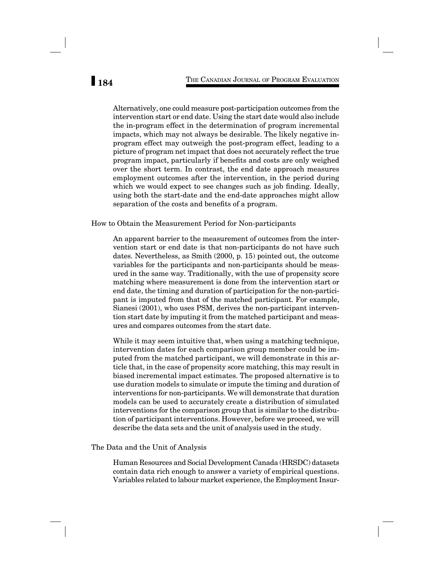Alternatively, one could measure post-participation outcomes from the intervention start or end date. Using the start date would also include the in-program effect in the determination of program incremental impacts, which may not always be desirable. The likely negative inprogram effect may outweigh the post-program effect, leading to a picture of program net impact that does not accurately reflect the true program impact, particularly if benefits and costs are only weighed over the short term. In contrast, the end date approach measures employment outcomes after the intervention, in the period during which we would expect to see changes such as job finding. Ideally, using both the start-date and the end-date approaches might allow separation of the costs and benefits of a program.

### How to Obtain the Measurement Period for Non-participants

An apparent barrier to the measurement of outcomes from the intervention start or end date is that non-participants do not have such dates. Nevertheless, as Smith  $(2000, p. 15)$  pointed out, the outcome variables for the participants and non-participants should be measured in the same way. Traditionally, with the use of propensity score matching where measurement is done from the intervention start or end date, the timing and duration of participation for the non-participant is imputed from that of the matched participant. For example, Sianesi (2001), who uses PSM, derives the non-participant intervention start date by imputing it from the matched participant and measures and compares outcomes from the start date.

While it may seem intuitive that, when using a matching technique, intervention dates for each comparison group member could be imputed from the matched participant, we will demonstrate in this article that, in the case of propensity score matching, this may result in biased incremental impact estimates. The proposed alternative is to use duration models to simulate or impute the timing and duration of interventions for non-participants. We will demonstrate that duration models can be used to accurately create a distribution of simulated interventions for the comparison group that is similar to the distribution of participant interventions. However, before we proceed, we will describe the data sets and the unit of analysis used in the study.

### The Data and the Unit of Analysis

Human Resources and Social Development Canada (HRSDC) datasets contain data rich enough to answer a variety of empirical questions. Variables related to labour market experience, the Employment Insur-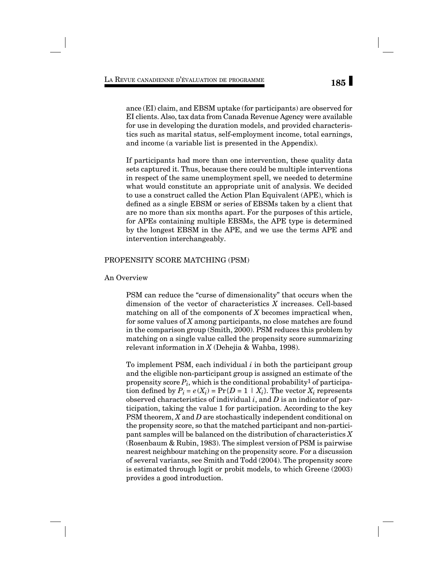ance (EI) claim, and EBSM uptake (for participants) are observed for EI clients. Also, tax data from Canada Revenue Agency were available for use in developing the duration models, and provided characteristics such as marital status, self-employment income, total earnings, and income (a variable list is presented in the Appendix).

If participants had more than one intervention, these quality data sets captured it. Thus, because there could be multiple interventions in respect of the same unemployment spell, we needed to determine what would constitute an appropriate unit of analysis. We decided to use a construct called the Action Plan Equivalent (APE), which is defined as a single EBSM or series of EBSMs taken by a client that are no more than six months apart. For the purposes of this article, for APEs containing multiple EBSMs, the APE type is determined by the longest EBSM in the APE, and we use the terms APE and intervention interchangeably.

### PROPENSITY SCORE MATCHING (PSM)

### An Overview

PSM can reduce the "curse of dimensionality" that occurs when the dimension of the vector of characteristics *X* increases. Cell-based matching on all of the components of *X* becomes impractical when, for some values of *X* among participants, no close matches are found in the comparison group (Smith, 2000). PSM reduces this problem by matching on a single value called the propensity score summarizing relevant information in *X* (Dehejia & Wahba, 1998).

To implement PSM, each individual *i* in both the participant group and the eligible non-participant group is assigned an estimate of the propensity score  $P_i$ , which is the conditional probability<sup>1</sup> of participation defined by  $P_i = e(X_i) = Pr\{D = 1 \mid X_i\}$ . The vector  $X_i$  represents observed characteristics of individual *i*, and *D* is an indicator of participation, taking the value 1 for participation. According to the key PSM theorem, *X* and *D* are stochastically independent conditional on the propensity score, so that the matched participant and non-participant samples will be balanced on the distribution of characteristics *X*  (Rosenbaum & Rubin, 1983). The simplest version of PSM is pairwise nearest neighbour matching on the propensity score. For a discussion of several variants, see Smith and Todd (2004). The propensity score is estimated through logit or probit models, to which Greene (2003) provides a good introduction.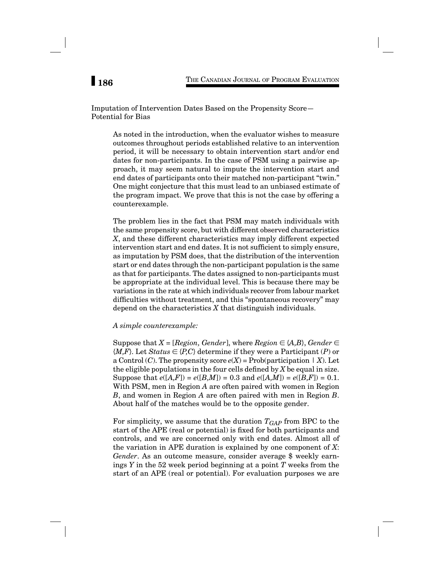# Imputation of Intervention Dates Based on the Propensity Score— Potential for Bias

As noted in the introduction, when the evaluator wishes to measure outcomes throughout periods established relative to an intervention period, it will be necessary to obtain intervention start and/or end dates for non-participants. In the case of PSM using a pairwise approach, it may seem natural to impute the intervention start and end dates of participants onto their matched non-participant "twin." One might conjecture that this must lead to an unbiased estimate of the program impact. We prove that this is not the case by offering a counterexample.

The problem lies in the fact that PSM may match individuals with the same propensity score, but with different observed characteristics *X*, and these different characteristics may imply different expected intervention start and end dates. It is not sufficient to simply ensure, as imputation by PSM does, that the distribution of the intervention start or end dates through the non-participant population is the same as that for participants. The dates assigned to non-participants must be appropriate at the individual level. This is because there may be variations in the rate at which individuals recover from labour market difficulties without treatment, and this "spontaneous recovery" may depend on the characteristics *X* that distinguish individuals.

### *A simple counterexample:*

Suppose that  $X = [Region, Gender]$ , where  $Region \in \{A, B\}$ ,  $Gender \in$  ${M,F}$ . Let *Status*  $\in$  {*P,C*} determine if they were a Participant (*P*) or a Control  $(C)$ . The propensity score  $e(X)$  = Prob(participation  $|X|$ ). Let the eligible populations in the four cells defined by  $X$  be equal in size. Suppose that  $e([A, F]) = e([B, M]) = 0.3$  and  $e([A, M]) = e([B, F]) = 0.1$ . With PSM, men in Region *A* are often paired with women in Region *B*, and women in Region *A* are often paired with men in Region *B*. About half of the matches would be to the opposite gender.

For simplicity, we assume that the duration  $T_{GAP}$  from BPC to the start of the APE (real or potential) is fixed for both participants and controls, and we are concerned only with end dates. Almost all of the variation in APE duration is explained by one component of *X*: *Gender*. As an outcome measure, consider average \$ weekly earnings *Y* in the 52 week period beginning at a point *T* weeks from the start of an APE (real or potential). For evaluation purposes we are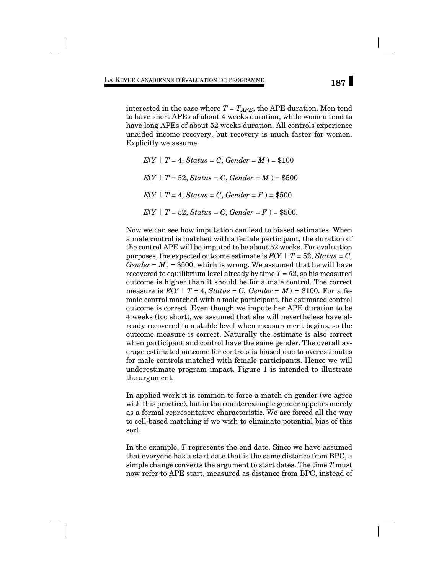interested in the case where  $T = T_{APE}$ , the APE duration. Men tend to have short APEs of about 4 weeks duration, while women tend to have long APEs of about 52 weeks duration. All controls experience unaided income recovery, but recovery is much faster for women. Explicitly we assume

 $E(Y | T = 4, Status = C, Generate = M) = $100$  $E(Y | T = 52, Status = C, Generate = M) = $500$  $E(Y | T = 4, Status = C, Generate = F) = $500$  $E(Y | T = 52, Status = C, Generate = F) = $500.$ 

Now we can see how imputation can lead to biased estimates. When a male control is matched with a female participant, the duration of the control APE will be imputed to be about 52 weeks. For evaluation purposes, the expected outcome estimate is  $E(Y | T = 52, Status = C,$  $Gender = M$ ) = \$500, which is wrong. We assumed that he will have recovered to equilibrium level already by time *T = 52*, so his measured outcome is higher than it should be for a male control. The correct measure is  $E(Y | T = 4, Status = C, Generate = M) = $100$ . For a female control matched with a male participant, the estimated control outcome is correct. Even though we impute her APE duration to be 4 weeks (too short), we assumed that she will nevertheless have already recovered to a stable level when measurement begins, so the outcome measure is correct. Naturally the estimate is also correct when participant and control have the same gender. The overall average estimated outcome for controls is biased due to overestimates for male controls matched with female participants. Hence we will underestimate program impact. Figure 1 is intended to illustrate the argument.

In applied work it is common to force a match on gender (we agree with this practice), but in the counterexample gender appears merely as a formal representative characteristic. We are forced all the way to cell-based matching if we wish to eliminate potential bias of this sort.

In the example, *T* represents the end date. Since we have assumed that everyone has a start date that is the same distance from BPC, a simple change converts the argument to start dates. The time *T* must now refer to APE start, measured as distance from BPC, instead of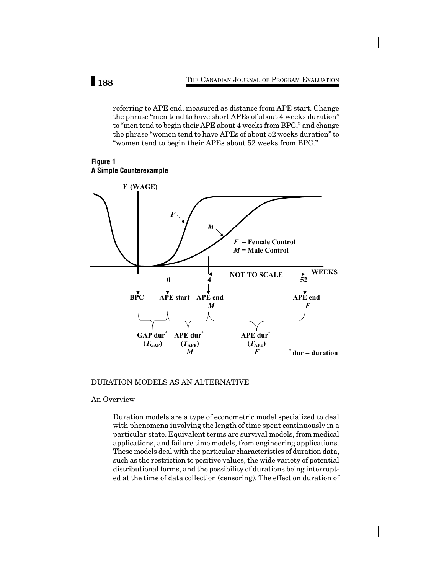referring to APE end, measured as distance from APE start. Change the phrase "men tend to have short APEs of about 4 weeks duration" to "men tend to begin their APE about 4 weeks from BPC," and change the phrase "women tend to have APEs of about 52 weeks duration" to "women tend to begin their APEs about 52 weeks from BPC."





# DURATION MODELS AS AN ALTERNATIVE

### An Overview

Duration models are a type of econometric model specialized to deal with phenomena involving the length of time spent continuously in a particular state. Equivalent terms are survival models, from medical applications, and failure time models, from engineering applications. These models deal with the particular characteristics of duration data, such as the restriction to positive values, the wide variety of potential distributional forms, and the possibility of durations being interrupted at the time of data collection (censoring). The effect on duration of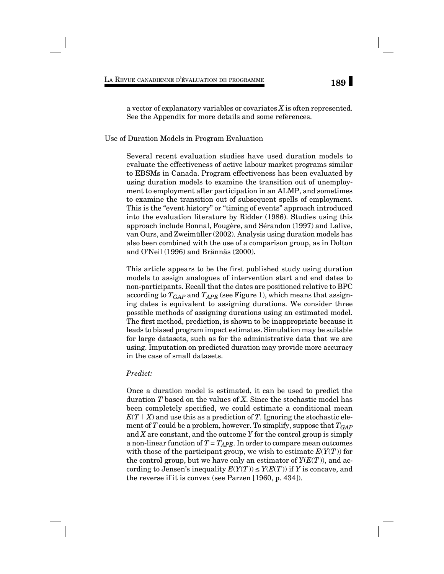a vector of explanatory variables or covariates *X* is often represented. See the Appendix for more details and some references.

### Use of Duration Models in Program Evaluation

Several recent evaluation studies have used duration models to evaluate the effectiveness of active labour market programs similar to EBSMs in Canada. Program effectiveness has been evaluated by using duration models to examine the transition out of unemployment to employment after participation in an ALMP, and sometimes to examine the transition out of subsequent spells of employment. This is the "event history" or "timing of events" approach introduced into the evaluation literature by Ridder (1986). Studies using this approach include Bonnal, Fougère, and Sérandon (1997) and Lalive, van Ours, and Zweimüller (2002). Analysis using duration models has also been combined with the use of a comparison group, as in Dolton and O'Neil (1996) and Brännäs (2000).

This article appears to be the first published study using duration models to assign analogues of intervention start and end dates to non-participants. Recall that the dates are positioned relative to BPC according to  $T_{GAP}$  and  $T_{APE}$  (see Figure 1), which means that assigning dates is equivalent to assigning durations. We consider three possible methods of assigning durations using an estimated model. The first method, prediction, is shown to be inappropriate because it leads to biased program impact estimates. Simulation may be suitable for large datasets, such as for the administrative data that we are using. Imputation on predicted duration may provide more accuracy in the case of small datasets.

## *Predict:*

Once a duration model is estimated, it can be used to predict the duration *T* based on the values of *X*. Since the stochastic model has been completely specified, we could estimate a conditional mean  $E(T | X)$  and use this as a prediction of *T*. Ignoring the stochastic element of *T* could be a problem, however. To simplify, suppose that  $T_{GAP}$ and *X* are constant, and the outcome *Y* for the control group is simply a non-linear function of  $T = T_{APE}$ . In order to compare mean outcomes with those of the participant group, we wish to estimate  $E(Y(T))$  for the control group, but we have only an estimator of  $Y(E(T))$ , and according to Jensen's inequality  $E(Y(T)) \leq Y(E(T))$  if *Y* is concave, and the reverse if it is convex (see Parzen [1960, p. 434]).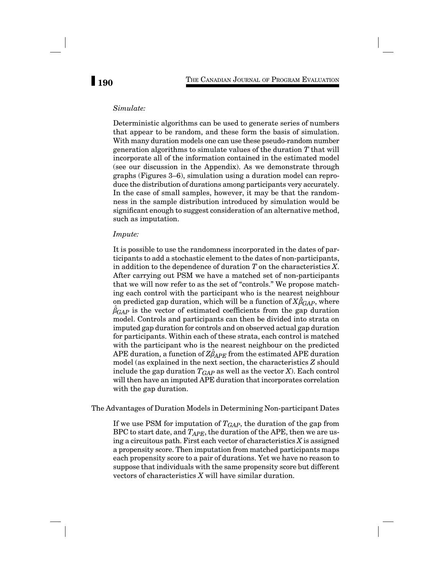# *Simulate:*

Deterministic algorithms can be used to generate series of numbers that appear to be random, and these form the basis of simulation. With many duration models one can use these pseudo-random number generation algorithms to simulate values of the duration *T* that will incorporate all of the information contained in the estimated model (see our discussion in the Appendix). As we demonstrate through graphs (Figures 3–6), simulation using a duration model can reproduce the distribution of durations among participants very accurately. In the case of small samples, however, it may be that the randomness in the sample distribution introduced by simulation would be significant enough to suggest consideration of an alternative method, such as imputation.

### *Impute:*

It is possible to use the randomness incorporated in the dates of participants to add a stochastic element to the dates of non-participants, in addition to the dependence of duration *T* on the characteristics *X*. After carrying out PSM we have a matched set of non-participants that we will now refer to as the set of "controls." We propose matching each control with the participant who is the nearest neighbour on predicted gap duration, which will be a function of  $X\hat{\beta}_{GAP}$ , where  $\hat{\beta}_{GAP}$  is the vector of estimated coefficients from the gap duration model. Controls and participants can then be divided into strata on imputed gap duration for controls and on observed actual gap duration for participants. Within each of these strata, each control is matched with the participant who is the nearest neighbour on the predicted APE duration, a function of  $Z\hat{\beta}_{APE}$  from the estimated APE duration model (as explained in the next section, the characteristics *Z* should include the gap duration  $T_{GAP}$  as well as the vector *X*). Each control will then have an imputed APE duration that incorporates correlation with the gap duration.

The Advantages of Duration Models in Determining Non-participant Dates

If we use PSM for imputation of  $T_{GAP}$ , the duration of the gap from BPC to start date, and  $T_{APE}$ , the duration of the APE, then we are using a circuitous path. First each vector of characteristics *X* is assigned a propensity score. Then imputation from matched participants maps each propensity score to a pair of durations. Yet we have no reason to suppose that individuals with the same propensity score but different vectors of characteristics *X* will have similar duration.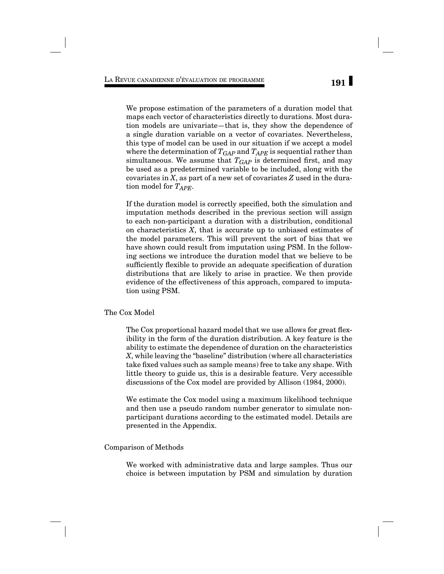We propose estimation of the parameters of a duration model that maps each vector of characteristics directly to durations. Most duration models are univariate—that is, they show the dependence of a single duration variable on a vector of covariates. Nevertheless, this type of model can be used in our situation if we accept a model where the determination of  $T_{GAP}$  and  $T_{APE}$  is sequential rather than simultaneous. We assume that  $T_{GAP}$  is determined first, and may be used as a predetermined variable to be included, along with the covariates in *X*, as part of a new set of covariates *Z* used in the duration model for *TAPE*.

If the duration model is correctly specified, both the simulation and imputation methods described in the previous section will assign to each non-participant a duration with a distribution, conditional on characteristics *X*, that is accurate up to unbiased estimates of the model parameters. This will prevent the sort of bias that we have shown could result from imputation using PSM. In the following sections we introduce the duration model that we believe to be sufficiently flexible to provide an adequate specification of duration distributions that are likely to arise in practice. We then provide evidence of the effectiveness of this approach, compared to imputation using PSM.

### The Cox Model

The Cox proportional hazard model that we use allows for great flexibility in the form of the duration distribution. A key feature is the ability to estimate the dependence of duration on the characteristics *X*, while leaving the "baseline" distribution (where all characteristics take fixed values such as sample means) free to take any shape. With little theory to guide us, this is a desirable feature. Very accessible discussions of the Cox model are provided by Allison (1984, 2000).

We estimate the Cox model using a maximum likelihood technique and then use a pseudo random number generator to simulate nonparticipant durations according to the estimated model. Details are presented in the Appendix.

## Comparison of Methods

We worked with administrative data and large samples. Thus our choice is between imputation by PSM and simulation by duration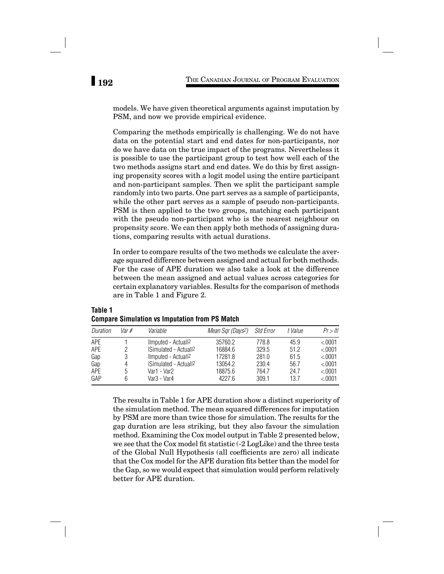models. We have given theoretical arguments against imputation by PSM, and now we provide empirical evidence.

Comparing the methods empirically is challenging. We do not have data on the potential start and end dates for non-participants, nor do we have data on the true impact of the programs. Nevertheless it is possible to use the participant group to test how well each of the two methods assigns start and end dates. We do this by first assigning propensity scores with a logit model using the entire participant and non-participant samples. Then we split the participant sample randomly into two parts. One part serves as a sample of participants, while the other part serves as a sample of pseudo non-participants. PSM is then applied to the two groups, matching each participant with the pseudo non-participant who is the nearest neighbour on propensity score. We can then apply both methods of assigning durations, comparing results with actual durations.

In order to compare results of the two methods we calculate the average squared difference between assigned and actual for both methods. For the case of APE duration we also take a look at the difference between the mean assigned and actual values across categories for certain explanatory variables. Results for the comparison of methods are in Table 1 and Figure 2.

| Duration | Var # | Variable                         | Mean Sqr (Days <sup>2</sup> ) | Std Error | t Value | Pr >  t |
|----------|-------|----------------------------------|-------------------------------|-----------|---------|---------|
| APF      |       | Ilmputed - Actuall <sup>2</sup>  | 35760.2                       | 778.8     | 45.9    | &0.001  |
| APE      |       | Simulated - Actuall <sup>2</sup> | 16884.6                       | 329.5     | 51.2    | &0.001  |
| Gap      |       | Ilmputed - Actuall <sup>2</sup>  | 17281.8                       | 281.0     | 61.5    | &0.001  |
| Gap      | 4     | <b>ISimulated - Actuall2</b>     | 13054.2                       | 230.4     | 56.7    | &0.001  |
| APE      | 'n.   | Var1 - Var2                      | 18875.6                       | 764.7     | 24.7    | &0.001  |
| GAP      | 6     | Var3 - Var4                      | 4227.6                        | 309.1     | 13.7    | < 0001  |

# **Table 1 Compare Simulation vs Imputation from PS Match**

The results in Table 1 for APE duration show a distinct superiority of the simulation method. The mean squared differences for imputation by PSM are more than twice those for simulation. The results for the gap duration are less striking, but they also favour the simulation method. Examining the Cox model output in Table 2 presented below, we see that the Cox model fit statistic (-2 LogLike) and the three tests of the Global Null Hypothesis (all coefficients are zero) all indicate that the Cox model for the APE duration fits better than the model for the Gap, so we would expect that simulation would perform relatively better for APE duration.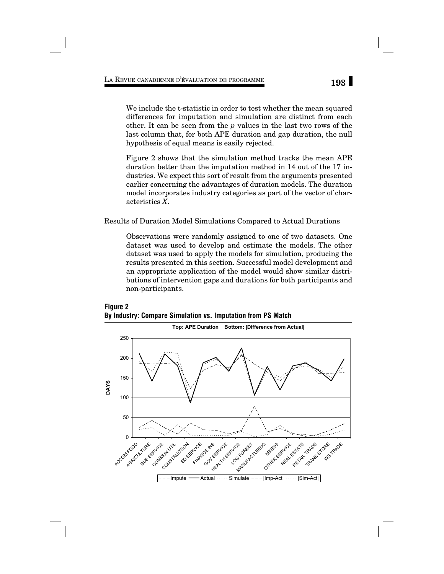We include the t-statistic in order to test whether the mean squared differences for imputation and simulation are distinct from each other. It can be seen from the *p* values in the last two rows of the last column that, for both APE duration and gap duration, the null hypothesis of equal means is easily rejected.

Figure 2 shows that the simulation method tracks the mean APE duration better than the imputation method in 14 out of the 17 industries. We expect this sort of result from the arguments presented earlier concerning the advantages of duration models. The duration model incorporates industry categories as part of the vector of characteristics *X*.

Results of Duration Model Simulations Compared to Actual Durations

Observations were randomly assigned to one of two datasets. One dataset was used to develop and estimate the models. The other dataset was used to apply the models for simulation, producing the results presented in this section. Successful model development and an appropriate application of the model would show similar distributions of intervention gaps and durations for both participants and non-participants.



# **Figure 2 By Industry: Compare Simulation vs. Imputation from PS Match**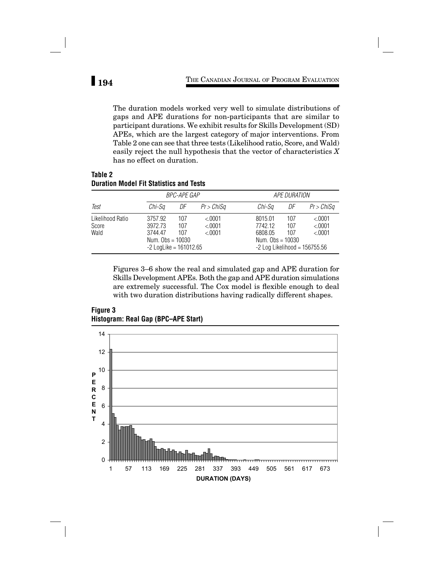The duration models worked very well to simulate distributions of gaps and APE durations for non-participants that are similar to participant durations. We exhibit results for Skills Development (SD) APEs, which are the largest category of major interventions. From Table 2 one can see that three tests (Likelihood ratio, Score, and Wald) easily reject the null hypothesis that the vector of characteristics *X* has no effect on duration.

# **Table 2 Duration Model Fit Statistics and Tests**

|                                   |                                                                                 | <b>BPC-APE GAP</b> |                            |                                                                                        | <b>APE DURATION</b> |                             |  |
|-----------------------------------|---------------------------------------------------------------------------------|--------------------|----------------------------|----------------------------------------------------------------------------------------|---------------------|-----------------------------|--|
| Test                              | Chi-Sa                                                                          | DF                 | $Pr$ > ChiSa               | Chi-Sa                                                                                 | DF                  | $Pr$ > ChiSa                |  |
| Likelihood Ratio<br>Score<br>Wald | 3757.92<br>3972.73<br>3744.47<br>Num. $Obs = 10030$<br>$-2$ LogLike = 161012.65 | 107<br>107<br>107  | &0.001<br>&0.001<br>&0.001 | 8015.01<br>7742.12<br>6808.05<br>Num. $Obs = 10030$<br>$-2$ Log Likelihood = 156755.56 | 107<br>107<br>107   | < 0.001<br>< 0001<br>&0.001 |  |

Figures 3–6 show the real and simulated gap and APE duration for Skills Development APEs. Both the gap and APE duration simulations are extremely successful. The Cox model is flexible enough to deal with two duration distributions having radically different shapes.

**Figure 3 Histogram: Real Gap (BPC–APE Start)**

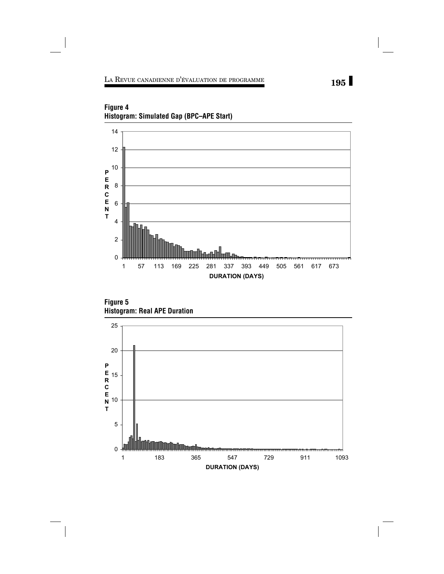

**Figure 4 Histogram: Simulated Gap (BPC–APE Start)**



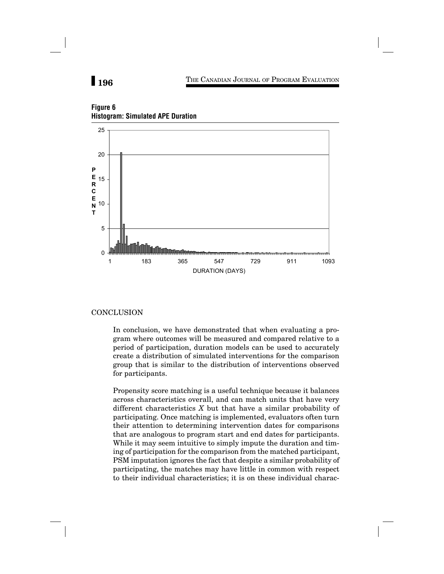# **196** THE CANADIAN JOURNAL OF PROGRAM EVALUATION



# **Figure 6 Histogram: Simulated APE Duration**

## **CONCLUSION**

In conclusion, we have demonstrated that when evaluating a program where outcomes will be measured and compared relative to a period of participation, duration models can be used to accurately create a distribution of simulated interventions for the comparison group that is similar to the distribution of interventions observed for participants.

Propensity score matching is a useful technique because it balances across characteristics overall, and can match units that have very different characteristics *X* but that have a similar probability of participating. Once matching is implemented, evaluators often turn their attention to determining intervention dates for comparisons that are analogous to program start and end dates for participants. While it may seem intuitive to simply impute the duration and timing of participation for the comparison from the matched participant, PSM imputation ignores the fact that despite a similar probability of participating, the matches may have little in common with respect to their individual characteristics; it is on these individual charac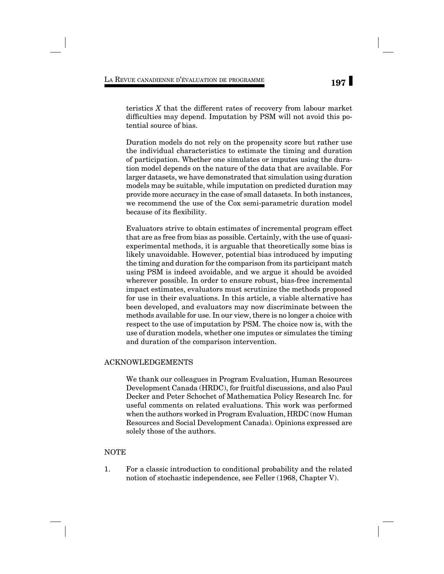teristics *X* that the different rates of recovery from labour market difficulties may depend. Imputation by PSM will not avoid this potential source of bias.

Duration models do not rely on the propensity score but rather use the individual characteristics to estimate the timing and duration of participation. Whether one simulates or imputes using the duration model depends on the nature of the data that are available. For larger datasets, we have demonstrated that simulation using duration models may be suitable, while imputation on predicted duration may provide more accuracy in the case of small datasets. In both instances, we recommend the use of the Cox semi-parametric duration model because of its flexibility.

Evaluators strive to obtain estimates of incremental program effect that are as free from bias as possible. Certainly, with the use of quasiexperimental methods, it is arguable that theoretically some bias is likely unavoidable. However, potential bias introduced by imputing the timing and duration for the comparison from its participant match using PSM is indeed avoidable, and we argue it should be avoided wherever possible. In order to ensure robust, bias-free incremental impact estimates, evaluators must scrutinize the methods proposed for use in their evaluations. In this article, a viable alternative has been developed, and evaluators may now discriminate between the methods available for use. In our view, there is no longer a choice with respect to the use of imputation by PSM. The choice now is, with the use of duration models, whether one imputes or simulates the timing and duration of the comparison intervention.

## ACKNOWLEDGEMENTS

We thank our colleagues in Program Evaluation, Human Resources Development Canada (HRDC), for fruitful discussions, and also Paul Decker and Peter Schochet of Mathematica Policy Research Inc. for useful comments on related evaluations. This work was performed when the authors worked in Program Evaluation, HRDC (now Human Resources and Social Development Canada). Opinions expressed are solely those of the authors.

# NOTE

1. For a classic introduction to conditional probability and the related notion of stochastic independence, see Feller (1968, Chapter V).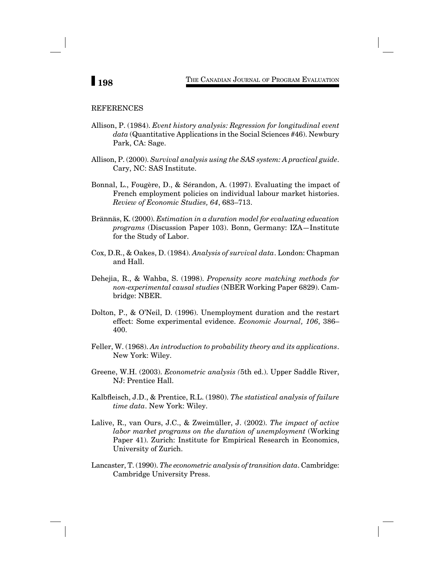# **198** THE CANADIAN JOURNAL OF PROGRAM EVALUATION

### REFERENCES

- Allison, P. (1984). *Event history analysis: Regression for longitudinal event data* (Quantitative Applications in the Social Sciences #46). Newbury Park, CA: Sage.
- Allison, P. (2000). *Survival analysis using the SAS system: A practical guide*. Cary, NC: SAS Institute.
- Bonnal, L., Fougère, D., & Sérandon, A. (1997). Evaluating the impact of French employment policies on individual labour market histories. *Review of Economic Studies, 64*, 683–713.
- Brännäs, K. (2000). *Estimation in a duration model for evaluating education programs* (Discussion Paper 103). Bonn, Germany: IZA—Institute for the Study of Labor.
- Cox, D.R., & Oakes, D. (1984). *Analysis of survival data*. London: Chapman and Hall.
- Dehejia, R., & Wahba, S. (1998). *Propensity score matching methods for non-experimental causal studies* (NBER Working Paper 6829). Cambridge: NBER.
- Dolton, P., & O'Neil, D. (1996). Unemployment duration and the restart effect: Some experimental evidence. *Economic Journal, 106*, 386– 400.
- Feller, W. (1968). *An introduction to probability theory and its applications*. New York: Wiley.
- Greene, W.H. (2003). *Econometric analysis (*5th ed.). Upper Saddle River, NJ: Prentice Hall.
- Kalbfleisch, J.D., & Prentice, R.L. (1980). *The statistical analysis of failure time data*. New York: Wiley.
- Lalive, R., van Ours, J.C., & Zweimüller, J. (2002). *The impact of active labor market programs on the duration of unemployment* (Working Paper 41). Zurich: Institute for Empirical Research in Economics, University of Zurich.
- Lancaster, T. (1990). *The econometric analysis of transition data*. Cambridge: Cambridge University Press.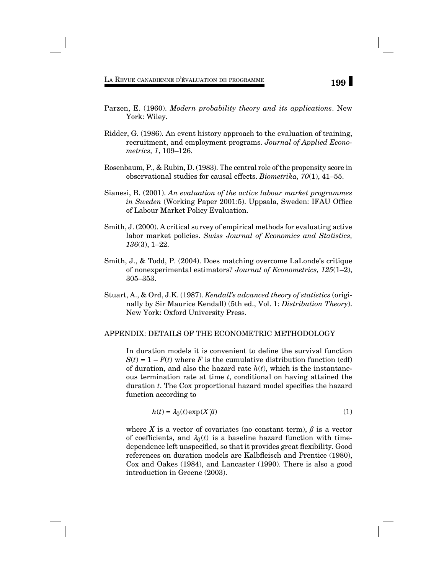- Parzen, E. (1960). *Modern probability theory and its applications*. New York: Wiley.
- Ridder, G. (1986). An event history approach to the evaluation of training, recruitment, and employment programs. *Journal of Applied Econometrics, 1*, 109–126.
- Rosenbaum, P., & Rubin, D. (1983). The central role of the propensity score in observational studies for causal effects. *Biometrika, 70*(1), 41–55.
- Sianesi, B. (2001). *An evaluation of the active labour market programmes in Sweden* (Working Paper 2001:5). Uppsala, Sweden: IFAU Office of Labour Market Policy Evaluation.
- Smith, J. (2000). A critical survey of empirical methods for evaluating active labor market policies. *Swiss Journal of Economics and Statistics, 136*(3), 1–22.
- Smith, J., & Todd, P. (2004). Does matching overcome LaLonde's critique of nonexperimental estimators? *Journal of Econometrics, 125*(1–2), 305–353.
- Stuart, A., & Ord, J.K. (1987). *Kendall's advanced theory of statistics* (originally by Sir Maurice Kendall) (5th ed., Vol. 1: *Distribution Theory*). New York: Oxford University Press.

### APPENDIX: DETAILS OF THE ECONOMETRIC METHODOLOGY

In duration models it is convenient to define the survival function  $S(t) = 1 - F(t)$  where *F* is the cumulative distribution function (cdf) of duration, and also the hazard rate  $h(t)$ , which is the instantaneous termination rate at time *t*, conditional on having attained the duration *t*. The Cox proportional hazard model specifies the hazard function according to

$$
h(t) = \lambda_0(t) \exp(X'\beta)
$$
 (1)

where *X* is a vector of covariates (no constant term),  $\beta$  is a vector of coefficients, and  $\lambda_0(t)$  is a baseline hazard function with timedependence left unspecified, so that it provides great flexibility. Good references on duration models are Kalbfleisch and Prentice (1980), Cox and Oakes (1984), and Lancaster (1990). There is also a good introduction in Greene (2003).